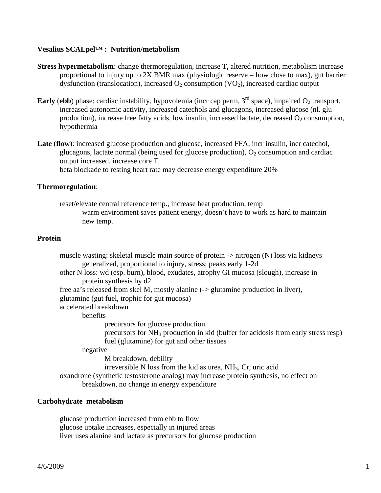## **Vesalius SCALpel™ : Nutrition/metabolism**

- **Stress hypermetabolism**: change thermoregulation, increase T, altered nutrition, metabolism increase proportional to injury up to 2X BMR max (physiologic reserve = how close to max), gut barrier dysfunction (translocation), increased  $O<sub>2</sub>$  consumption (VO<sub>2</sub>), increased cardiac output
- **Early** (**ebb**) phase: cardiac instability, hypovolemia (incr cap perm,  $3<sup>rd</sup>$  space), impaired  $O_2$  transport, increased autonomic activity, increased catechols and glucagons, increased glucose (nl. glu production), increase free fatty acids, low insulin, increased lactate, decreased  $O<sub>2</sub>$  consumption, hypothermia
- **Late** (**flow**): increased glucose production and glucose, increased FFA, incr insulin, incr catechol, glucagons, lactate normal (being used for glucose production),  $O_2$  consumption and cardiac output increased, increase core T beta blockade to resting heart rate may decrease energy expenditure 20%

## **Thermoregulation**:

 reset/elevate central reference temp., increase heat production, temp warm environment saves patient energy, doesn't have to work as hard to maintain new temp.

## **Protein**

muscle wasting: skeletal muscle main source of protein -> nitrogen (N) loss via kidneys generalized, proportional to injury, stress; peaks early 1-2d other N loss: wd (esp. burn), blood, exudates, atrophy GI mucosa (slough), increase in protein synthesis by d2 free aa's released from skel M, mostly alanine (-> glutamine production in liver), glutamine (gut fuel, trophic for gut mucosa) accelerated breakdown benefits precursors for glucose production precursors for NH3 production in kid (buffer for acidosis from early stress resp) fuel (glutamine) for gut and other tissues negative M breakdown, debility irreversible N loss from the kid as urea,  $NH<sub>3</sub>$ , Cr, uric acid oxandrone (synthetic testosterone analog) may increase protein synthesis, no effect on breakdown, no change in energy expenditure

# **Carbohydrate metabolism**

 glucose production increased from ebb to flow glucose uptake increases, especially in injured areas liver uses alanine and lactate as precursors for glucose production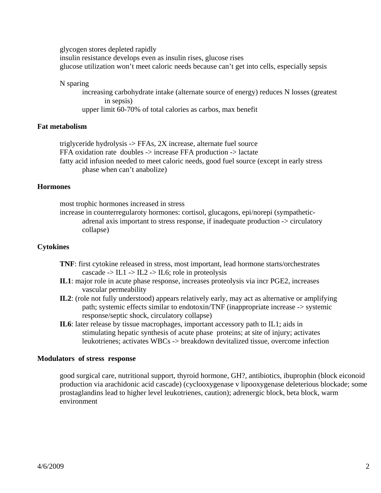glycogen stores depleted rapidly insulin resistance develops even as insulin rises, glucose rises glucose utilization won't meet caloric needs because can't get into cells, especially sepsis

#### N sparing

 increasing carbohydrate intake (alternate source of energy) reduces N losses (greatest in sepsis)

upper limit 60-70% of total calories as carbos, max benefit

# **Fat metabolism**

 triglyceride hydrolysis -> FFAs, 2X increase, alternate fuel source FFA oxidation rate doubles -> increase FFA production -> lactate fatty acid infusion needed to meet caloric needs, good fuel source (except in early stress phase when can't anabolize)

# **Hormones**

most trophic hormones increased in stress

 increase in counterregularoty hormones: cortisol, glucagons, epi/norepi (sympathetic adrenal axis important to stress response, if inadequate production -> circulatory collapse)

# **Cytokines**

- **TNF**: first cytokine released in stress, most important, lead hormone starts/orchestrates cascade  $\rightarrow$  IL1  $\rightarrow$  IL2  $\rightarrow$  IL6; role in proteolysis
- **IL1**: major role in acute phase response, increases proteolysis via incr PGE2, increases vascular permeability
- **IL2**: (role not fully understood) appears relatively early, may act as alternative or amplifying path; systemic effects similar to endotoxin/TNF (inappropriate increase -> systemic response/septic shock, circulatory collapse)
- **IL6**: later release by tissue macrophages, important accessory path to IL1; aids in stimulating hepatic synthesis of acute phase proteins; at site of injury; activates leukotrienes; activates WBCs -> breakdown devitalized tissue, overcome infection

# **Modulators of stress response**

 good surgical care, nutritional support, thyroid hormone, GH?, antibiotics, ibuprophin (block eiconoid production via arachidonic acid cascade) (cyclooxygenase v lipooxygenase deleterious blockade; some prostaglandins lead to higher level leukotrienes, caution); adrenergic block, beta block, warm environment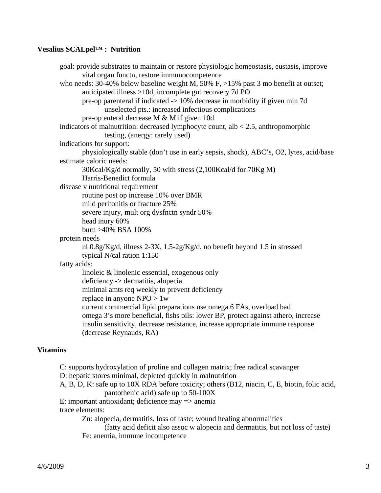# **Vesalius SCALpel™ : Nutrition**

 goal: provide substrates to maintain or restore physiologic homeostasis, eustasis, improve vital organ functn, restore immunocompetence who needs: 30-40% below baseline weight M, 50% F, >15% past 3 mo benefit at outset; anticipated illness >10d, incomplete gut recovery 7d PO pre-op parenteral if indicated -> 10% decrease in morbidity if given min 7d unselected pts.: increased infectious complications pre-op enteral decrease M & M if given 10d indicators of malnutrition: decreased lymphocyte count, alb  $< 2.5$ , anthropomorphic testing, (anergy: rarely used) indications for support: physiologically stable (don't use in early sepsis, shock), ABC's, O2, lytes, acid/base estimate caloric needs: 30Kcal/Kg/d normally, 50 with stress (2,100Kcal/d for 70Kg M) Harris-Benedict formula disease v nutritional requirement routine post op increase 10% over BMR mild peritonitis or fracture 25% severe injury, mult org dysfnctn syndr 50% head inury 60% burn >40% BSA 100% protein needs nl 0.8g/Kg/d, illness 2-3X, 1.5-2g/Kg/d, no benefit beyond 1.5 in stressed typical N/cal ration 1:150 fatty acids: linoleic & linolenic essential, exogenous only deficiency -> dermatitis, alopecia minimal amts req weekly to prevent deficiency replace in anyone NPO > 1w current commercial lipid preparations use omega 6 FAs, overload bad omega 3's more beneficial, fishs oils: lower BP, protect against athero, increase insulin sensitivity, decrease resistance, increase appropriate immune response (decrease Reynauds, RA)

# **Vitamins**

 C: supports hydroxylation of proline and collagen matrix; free radical scavanger D: hepatic stores minimal, depleted quickly in malnutrition A, B, D, K: safe up to 10X RDA before toxicity; others (B12, niacin, C, E, biotin, folic acid, pantothenic acid) safe up to 50-100X E: important antioxidant; deficience may => anemia trace elements: Zn: alopecia, dermatitis, loss of taste; wound healing abnormalities (fatty acid deficit also assoc w alopecia and dermatitis, but not loss of taste) Fe: anemia, immune incompetence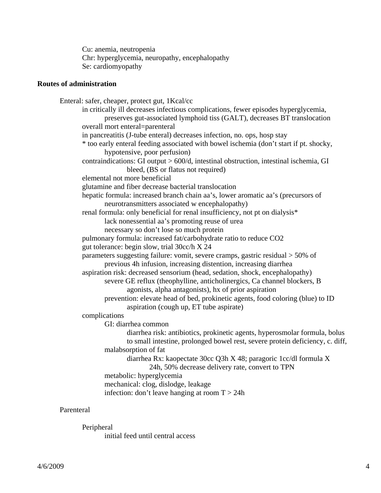Cu: anemia, neutropenia Chr: hyperglycemia, neuropathy, encephalopathy Se: cardiomyopathy

#### **Routes of administration**

 Enteral: safer, cheaper, protect gut, 1Kcal/cc in critically ill decreases infectious complications, fewer episodes hyperglycemia, preserves gut-associated lymphoid tiss (GALT), decreases BT translocation overall mort enteral=parenteral in pancreatitis (J-tube enteral) decreases infection, no. ops, hosp stay \* too early enteral feeding associated with bowel ischemia (don't start if pt. shocky, hypotensive, poor perfusion) contraindications: GI output > 600/d, intestinal obstruction, intestinal ischemia, GI bleed, (BS or flatus not required) elemental not more beneficial glutamine and fiber decrease bacterial translocation hepatic formula: increased branch chain aa's, lower aromatic aa's (precursors of neurotransmitters associated w encephalopathy) renal formula: only beneficial for renal insufficiency, not pt on dialysis\* lack nonessential aa's promoting reuse of urea necessary so don't lose so much protein pulmonary formula: increased fat/carbohydrate ratio to reduce CO2 gut tolerance: begin slow, trial 30cc/h X 24 parameters suggesting failure: vomit, severe cramps, gastric residual > 50% of previous 4h infusion, increasing distention, increasing diarrhea aspiration risk: decreased sensorium (head, sedation, shock, encephalopathy) severe GE reflux (theophylline, anticholinergics, Ca channel blockers, B agonists, alpha antagonists), hx of prior aspiration prevention: elevate head of bed, prokinetic agents, food coloring (blue) to ID aspiration (cough up, ET tube aspirate) complications GI: diarrhea common diarrhea risk: antibiotics, prokinetic agents, hyperosmolar formula, bolus to small intestine, prolonged bowel rest, severe protein deficiency, c. diff, malabsorption of fat diarrhea Rx: kaopectate 30cc Q3h X 48; paragoric 1cc/dl formula X 24h, 50% decrease delivery rate, convert to TPN metabolic: hyperglycemia mechanical: clog, dislodge, leakage infection: don't leave hanging at room  $T > 24h$ 

# Parenteral

 Peripheral initial feed until central access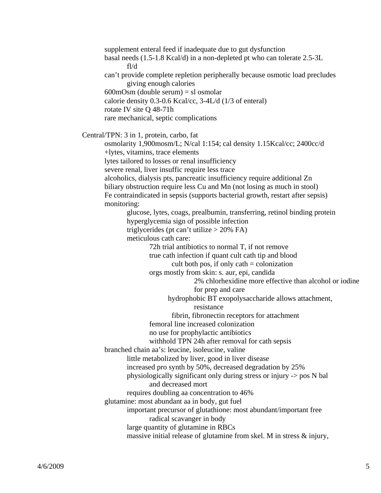supplement enteral feed if inadequate due to gut dysfunction basal needs (1.5-1.8 Kcal/d) in a non-depleted pt who can tolerate 2.5-3L fl/d can't provide complete repletion peripherally because osmotic load precludes giving enough calories  $600 \text{mOsm}$  (double serum) = sl osmolar calorie density 0.3-0.6 Kcal/cc, 3-4L/d (1/3 of enteral) rotate IV site Q 48-71h rare mechanical, septic complications Central/TPN: 3 in 1, protein, carbo, fat osmolarity 1,900mosm/L; N/cal 1:154; cal density 1.15Kcal/cc; 2400cc/d +lytes, vitamins, trace elements lytes tailored to losses or renal insufficiency severe renal, liver insuffic require less trace alcoholics, dialysis pts, pancreatic insufficiency require additional Zn biliary obstruction require less Cu and Mn (not losing as much in stool) Fe contraindicated in sepsis (supports bacterial growth, restart after sepsis) monitoring: glucose, lytes, coags, prealbumin, transferring, retinol binding protein hyperglycemia sign of possible infection triglycerides (pt can't utilize  $> 20\%$  FA) meticulous cath care: 72h trial antibiotics to normal T, if not remove true cath infection if quant cult cath tip and blood cult both pos, if only  $\text{cath} = \text{colonization}$  orgs mostly from skin: s. aur, epi, candida 2% chlorhexidine more effective than alcohol or iodine for prep and care hydrophobic BT exopolysaccharide allows attachment, resistance fibrin, fibronectin receptors for attachment femoral line increased colonization no use for prophylactic antibiotics withhold TPN 24h after removal for cath sepsis branched chain aa's: leucine, isoleucine, valine little metabolized by liver, good in liver disease increased pro synth by 50%, decreased degradation by 25% physiologically significant only during stress or injury -> pos N bal and decreased mort requires doubling aa concentration to 46% glutamine: most abundant aa in body, gut fuel important precursor of glutathione: most abundant/important free radical scavanger in body large quantity of glutamine in RBCs massive initial release of glutamine from skel. M in stress & injury,